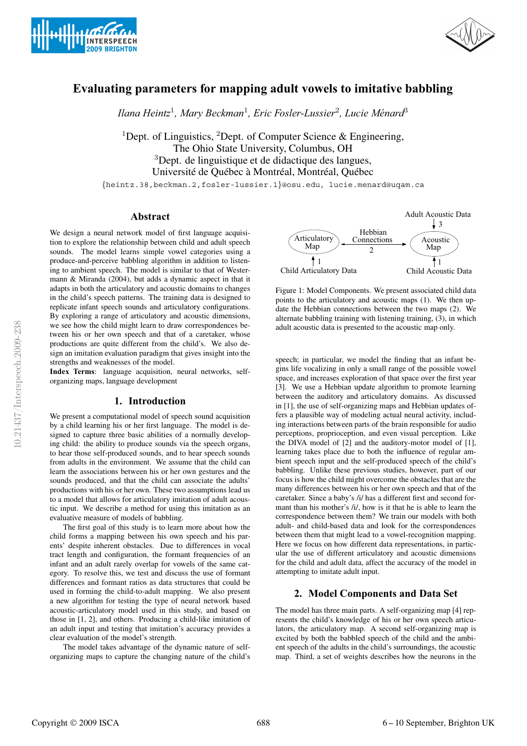



# **Evaluating parameters for mapping adult vowels to imitative babbling**

*Ilana Heintz*<sup>1</sup>*, Mary Beckman*<sup>1</sup>*, Eric Fosler-Lussier*<sup>2</sup>*, Lucie Menard ´* <sup>3</sup>

<sup>1</sup>Dept. of Linguistics, <sup>2</sup>Dept. of Computer Science & Engineering, The Ohio State University, Columbus, OH <sup>3</sup>Dept. de linguistique et de didactique des langues, Université de Québec à Montréal, Montréal, Québec

{heintz.38,beckman.2,fosler-lussier.1}@osu.edu, lucie.menard@uqam.ca

## **Abstract**

We design a neural network model of first language acquisition to explore the relationship between child and adult speech sounds. The model learns simple vowel categories using a produce-and-perceive babbling algorithm in addition to listening to ambient speech. The model is similar to that of Westermann & Miranda (2004), but adds a dynamic aspect in that it adapts in both the articulatory and acoustic domains to changes in the child's speech patterns. The training data is designed to replicate infant speech sounds and articulatory configurations. By exploring a range of articulatory and acoustic dimensions, we see how the child might learn to draw correspondences between his or her own speech and that of a caretaker, whose productions are quite different from the child's. We also design an imitation evaluation paradigm that gives insight into the strengths and weaknesses of the model.

**Index Terms**: language acquisition, neural networks, selforganizing maps, language development

### **1. Introduction**

We present a computational model of speech sound acquisition by a child learning his or her first language. The model is designed to capture three basic abilities of a normally developing child: the ability to produce sounds via the speech organs, to hear those self-produced sounds, and to hear speech sounds from adults in the environment. We assume that the child can learn the associations between his or her own gestures and the sounds produced, and that the child can associate the adults' productions with his or her own. These two assumptions lead us to a model that allows for articulatory imitation of adult acoustic input. We describe a method for using this imitation as an evaluative measure of models of babbling.

The first goal of this study is to learn more about how the child forms a mapping between his own speech and his parents' despite inherent obstacles. Due to differences in vocal tract length and configuration, the formant frequencies of an infant and an adult rarely overlap for vowels of the same category. To resolve this, we test and discuss the use of formant differences and formant ratios as data structures that could be used in forming the child-to-adult mapping. We also present a new algorithm for testing the type of neural network based acoustic-articulatory model used in this study, and based on those in [1, 2], and others. Producing a child-like imitation of an adult input and testing that imitation's accuracy provides a clear evaluation of the model's strength.

The model takes advantage of the dynamic nature of selforganizing maps to capture the changing nature of the child's



Figure 1: Model Components. We present associated child data points to the articulatory and acoustic maps (1). We then update the Hebbian connections between the two maps (2). We alternate babbling training with listening training, (3), in which adult acoustic data is presented to the acoustic map only.

speech; in particular, we model the finding that an infant begins life vocalizing in only a small range of the possible vowel space, and increases exploration of that space over the first year [3]. We use a Hebbian update algorithm to promote learning between the auditory and articulatory domains. As discussed in [1], the use of self-organizing maps and Hebbian updates offers a plausible way of modeling actual neural activity, including interactions between parts of the brain responsible for audio perceptions, proprioception, and even visual perception. Like the DIVA model of [2] and the auditory-motor model of [1], learning takes place due to both the influence of regular ambient speech input and the self-produced speech of the child's babbling. Unlike these previous studies, however, part of our focus is how the child might overcome the obstacles that are the many differences between his or her own speech and that of the caretaker. Since a baby's /i/ has a different first and second formant than his mother's /i/, how is it that he is able to learn the correspondence between them? We train our models with both adult- and child-based data and look for the correspondences between them that might lead to a vowel-recognition mapping. Here we focus on how different data representations, in particular the use of different articulatory and acoustic dimensions for the child and adult data, affect the accuracy of the model in attempting to imitate adult input.

## **2. Model Components and Data Set**

The model has three main parts. A self-organizing map [4] represents the child's knowledge of his or her own speech articulators, the articulatory map. A second self-organizing map is excited by both the babbled speech of the child and the ambient speech of the adults in the child's surroundings, the acoustic map. Third, a set of weights describes how the neurons in the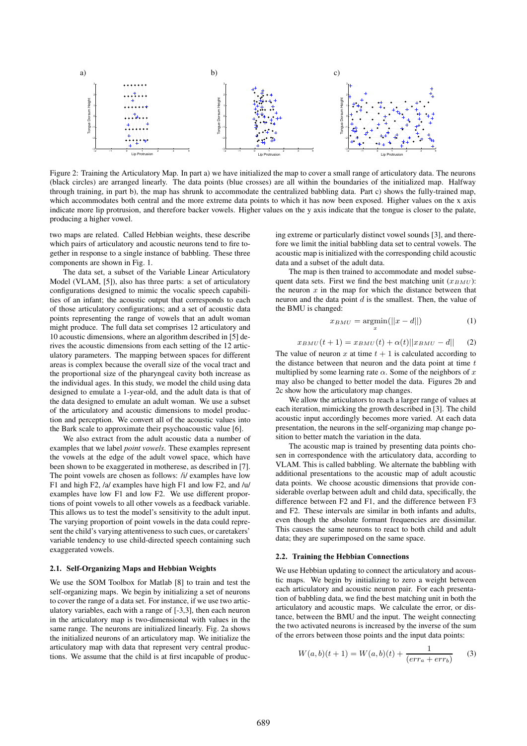

Figure 2: Training the Articulatory Map. In part a) we have initialized the map to cover a small range of articulatory data. The neurons (black circles) are arranged linearly. The data points (blue crosses) are all within the boundaries of the initialized map. Halfway through training, in part b), the map has shrunk to accommodate the centralized babbling data. Part c) shows the fully-trained map, which accommodates both central and the more extreme data points to which it has now been exposed. Higher values on the x axis indicate more lip protrusion, and therefore backer vowels. Higher values on the y axis indicate that the tongue is closer to the palate, producing a higher vowel.

two maps are related. Called Hebbian weights, these describe which pairs of articulatory and acoustic neurons tend to fire together in response to a single instance of babbling. These three components are shown in Fig. 1.

The data set, a subset of the Variable Linear Articulatory Model (VLAM, [5]), also has three parts: a set of articulatory configurations designed to mimic the vocalic speech capabilities of an infant; the acoustic output that corresponds to each of those articulatory configurations; and a set of acoustic data points representing the range of vowels that an adult woman might produce. The full data set comprises 12 articulatory and 10 acoustic dimensions, where an algorithm described in [5] derives the acoustic dimensions from each setting of the 12 articulatory parameters. The mapping between spaces for different areas is complex because the overall size of the vocal tract and the proportional size of the pharyngeal cavity both increase as the individual ages. In this study, we model the child using data designed to emulate a 1-year-old, and the adult data is that of the data designed to emulate an adult woman. We use a subset of the articulatory and acoustic dimensions to model production and perception. We convert all of the acoustic values into the Bark scale to approximate their psychoacoustic value [6].

We also extract from the adult acoustic data a number of examples that we label *point vowels*. These examples represent the vowels at the edge of the adult vowel space, which have been shown to be exaggerated in motherese, as described in [7]. The point vowels are chosen as follows: /i/ examples have low F1 and high F2, /a/ examples have high F1 and low F2, and /u/ examples have low F1 and low F2. We use different proportions of point vowels to all other vowels as a feedback variable. This allows us to test the model's sensitivity to the adult input. The varying proportion of point vowels in the data could represent the child's varying attentiveness to such cues, or caretakers' variable tendency to use child-directed speech containing such exaggerated vowels.

#### **2.1. Self-Organizing Maps and Hebbian Weights**

We use the SOM Toolbox for Matlab [8] to train and test the self-organizing maps. We begin by initializing a set of neurons to cover the range of a data set. For instance, if we use two articulatory variables, each with a range of [-3,3], then each neuron in the articulatory map is two-dimensional with values in the same range. The neurons are initialized linearly. Fig. 2a shows the initialized neurons of an articulatory map. We initialize the articulatory map with data that represent very central productions. We assume that the child is at first incapable of producing extreme or particularly distinct vowel sounds [3], and therefore we limit the initial babbling data set to central vowels. The acoustic map is initialized with the corresponding child acoustic data and a subset of the adult data.

The map is then trained to accommodate and model subsequent data sets. First we find the best matching unit  $(x_{BMI})$ : the neuron  $x$  in the map for which the distance between that neuron and the data point  $d$  is the smallest. Then, the value of the BMU is changed:

$$
x_{BMU} = \underset{x}{\operatorname{argmin}}(||x - d||) \tag{1}
$$

$$
x_{BMU}(t+1) = x_{BMU}(t) + \alpha(t)||x_{BMU} - d|| \qquad (2)
$$

The value of neuron x at time  $t + 1$  is calculated according to the distance between that neuron and the data point at time  $t$ multiplied by some learning rate  $\alpha$ . Some of the neighbors of x may also be changed to better model the data. Figures 2b and 2c show how the articulatory map changes.

We allow the articulators to reach a larger range of values at each iteration, mimicking the growth described in [3]. The child acoustic input accordingly becomes more varied. At each data presentation, the neurons in the self-organizing map change position to better match the variation in the data.

The acoustic map is trained by presenting data points chosen in correspondence with the articulatory data, according to VLAM. This is called babbling. We alternate the babbling with additional presentations to the acoustic map of adult acoustic data points. We choose acoustic dimensions that provide considerable overlap between adult and child data, specifically, the difference between F2 and F1, and the difference between F3 and F2. These intervals are similar in both infants and adults, even though the absolute formant frequencies are dissimilar. This causes the same neurons to react to both child and adult data; they are superimposed on the same space.

#### **2.2. Training the Hebbian Connections**

We use Hebbian updating to connect the articulatory and acoustic maps. We begin by initializing to zero a weight between each articulatory and acoustic neuron pair. For each presentation of babbling data, we find the best matching unit in both the articulatory and acoustic maps. We calculate the error, or distance, between the BMU and the input. The weight connecting the two activated neurons is increased by the inverse of the sum of the errors between those points and the input data points:

$$
W(a,b)(t+1) = W(a,b)(t) + \frac{1}{(err_a + err_b)}
$$
 (3)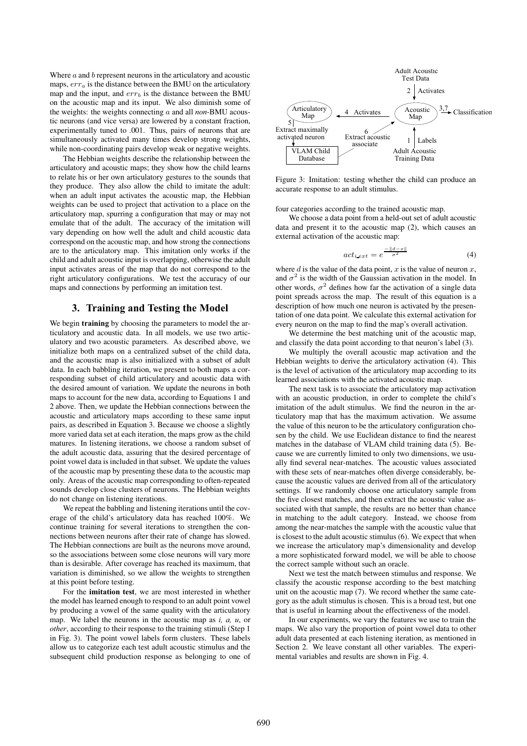Where  $a$  and  $b$  represent neurons in the articulatory and acoustic maps,  $err_a$  is the distance between the BMU on the articulatory map and the input, and  $err<sub>b</sub>$  is the distance between the BMU on the acoustic map and its input. We also diminish some of the weights: the weights connecting a and all *non*-BMU acoustic neurons (and vice versa) are lowered by a constant fraction, experimentally tuned to .001. Thus, pairs of neurons that are simultaneously activated many times develop strong weights, while non-coordinating pairs develop weak or negative weights.

The Hebbian weights describe the relationship between the articulatory and acoustic maps; they show how the child learns to relate his or her own articulatory gestures to the sounds that they produce. They also allow the child to imitate the adult: when an adult input activates the acoustic map, the Hebbian weights can be used to project that activation to a place on the articulatory map, spurring a configuration that may or may not emulate that of the adult. The accuracy of the imitation will vary depending on how well the adult and child acoustic data correspond on the acoustic map, and how strong the connections are to the articulatory map. This imitation only works if the child and adult acoustic input is overlapping, otherwise the adult input activates areas of the map that do not correspond to the right articulatory configurations. We test the accuracy of our maps and connections by performing an imitation test.

## **3. Training and Testing the Model**

We begin **training** by choosing the parameters to model the articulatory and acoustic data. In all models, we use two articulatory and two acoustic parameters. As described above, we initialize both maps on a centralized subset of the child data, and the acoustic map is also initialized with a subset of adult data. In each babbling iteration, we present to both maps a corresponding subset of child articulatory and acoustic data with the desired amount of variation. We update the neurons in both maps to account for the new data, according to Equations 1 and 2 above. Then, we update the Hebbian connections between the acoustic and articulatory maps according to these same input pairs, as described in Equation 3. Because we choose a slightly more varied data set at each iteration, the maps grow as the child matures. In listening iterations, we choose a random subset of the adult acoustic data, assuring that the desired percentage of point vowel data is included in that subset. We update the values of the acoustic map by presenting these data to the acoustic map only. Areas of the acoustic map corresponding to often-repeated sounds develop close clusters of neurons. The Hebbian weights do not change on listening iterations.

We repeat the babbling and listening iterations until the coverage of the child's articulatory data has reached 100%. We continue training for several iterations to strengthen the connections between neurons after their rate of change has slowed. The Hebbian connections are built as the neurons move around, so the associations between some close neurons will vary more than is desirable. After coverage has reached its maximum, that variation is diminished, so we allow the weights to strengthen at this point before testing.

For the **imitation test**, we are most interested in whether the model has learned enough to respond to an adult point vowel by producing a vowel of the same quality with the articulatory map. We label the neurons in the acoustic map as *i, a, u*, or *other*, according to their response to the training stimuli (Step 1) in Fig. 3). The point vowel labels form clusters. These labels allow us to categorize each test adult acoustic stimulus and the subsequent child production response as belonging to one of



Figure 3: Imitation: testing whether the child can produce an accurate response to an adult stimulus.

four categories according to the trained acoustic map.

We choose a data point from a held-out set of adult acoustic data and present it to the acoustic map (2), which causes an external activation of the acoustic map:

$$
act_{i ext} = e^{\frac{-\|d-x\|}{\sigma^2}}
$$
 (4)

where d is the value of the data point, x is the value of neuron  $x$ , and  $\sigma^2$  is the width of the Gaussian activation in the model. In other words,  $\sigma^2$  defines how far the activation of a single data point spreads across the map. The result of this equation is a description of how much one neuron is activated by the presentation of one data point. We calculate this external activation for every neuron on the map to find the map's overall activation.

We determine the best matching unit of the acoustic map, and classify the data point according to that neuron's label (3).

We multiply the overall acoustic map activation and the Hebbian weights to derive the articulatory activation (4). This is the level of activation of the articulatory map according to its learned associations with the activated acoustic map.

The next task is to associate the articulatory map activation with an acoustic production, in order to complete the child's imitation of the adult stimulus. We find the neuron in the articulatory map that has the maximum activation. We assume the value of this neuron to be the articulatory configuration chosen by the child. We use Euclidean distance to find the nearest matches in the database of VLAM child training data (5). Because we are currently limited to only two dimensions, we usually find several near-matches. The acoustic values associated with these sets of near-matches often diverge considerably, because the acoustic values are derived from all of the articulatory settings. If we randomly choose one articulatory sample from the five closest matches, and then extract the acoustic value associated with that sample, the results are no better than chance in matching to the adult category. Instead, we choose from among the near-matches the sample with the acoustic value that is closest to the adult acoustic stimulus (6). We expect that when we increase the articulatory map's dimensionality and develop a more sophisticated forward model, we will be able to choose the correct sample without such an oracle.

Next we test the match between stimulus and response. We classify the acoustic response according to the best matching unit on the acoustic map (7). We record whether the same category as the adult stimulus is chosen. This is a broad test, but one that is useful in learning about the effectiveness of the model.

In our experiments, we vary the features we use to train the maps. We also vary the proportion of point vowel data to other adult data presented at each listening iteration, as mentioned in Section 2. We leave constant all other variables. The experimental variables and results are shown in Fig. 4.